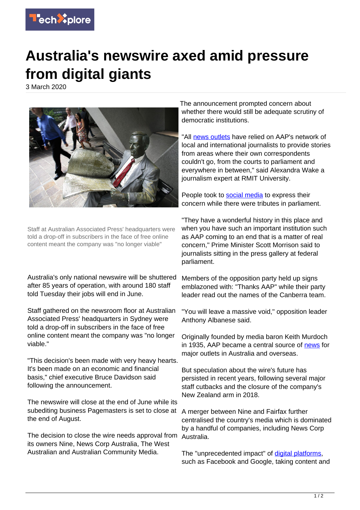

## **Australia's newswire axed amid pressure from digital giants**

3 March 2020



Staff at Australian Associated Press' headquarters were told a drop-off in subscribers in the face of free online content meant the company was "no longer viable"

Australia's only national newswire will be shuttered after 85 years of operation, with around 180 staff told Tuesday their jobs will end in June.

Staff gathered on the newsroom floor at Australian Associated Press' headquarters in Sydney were told a drop-off in subscribers in the face of free online content meant the company was "no longer viable."

"This decision's been made with very heavy hearts. It's been made on an economic and financial basis," chief executive Bruce Davidson said following the announcement.

The newswire will close at the end of June while its subediting business Pagemasters is set to close at the end of August.

The decision to close the wire needs approval from its owners Nine, News Corp Australia, The West Australian and Australian Community Media.

The announcement prompted concern about whether there would still be adequate scrutiny of democratic institutions.

"All [news outlets](https://techxplore.com/tags/news+outlets/) have relied on AAP's network of local and international journalists to provide stories from areas where their own correspondents couldn't go, from the courts to parliament and everywhere in between," said Alexandra Wake a journalism expert at RMIT University.

People took to [social media](https://techxplore.com/tags/social+media/) to express their concern while there were tributes in parliament.

"They have a wonderful history in this place and when you have such an important institution such as AAP coming to an end that is a matter of real concern," Prime Minister Scott Morrison said to journalists sitting in the press gallery at federal parliament.

Members of the opposition party held up signs emblazoned with: "Thanks AAP" while their party leader read out the names of the Canberra team.

"You will leave a massive void," opposition leader Anthony Albanese said.

Originally founded by media baron Keith Murdoch in 1935, AAP became a central source of [news](https://techxplore.com/tags/news/) for major outlets in Australia and overseas.

But speculation about the wire's future has persisted in recent years, following several major staff cutbacks and the closure of the company's New Zealand arm in 2018.

A merger between Nine and Fairfax further centralised the country's media which is dominated by a handful of companies, including News Corp Australia.

The "unprecedented impact" of [digital platforms](https://techxplore.com/tags/digital+platforms/), such as Facebook and Google, taking content and